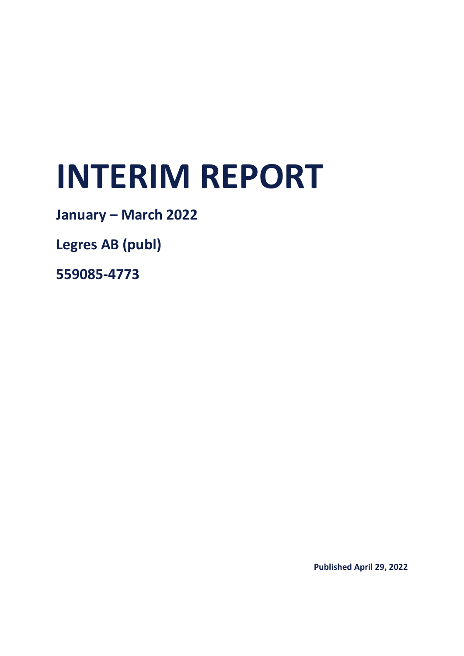# **INTERIM REPORT**

**January – March 2022**

**Legres AB (publ)**

**559085-4773**

**Published April 29, 2022**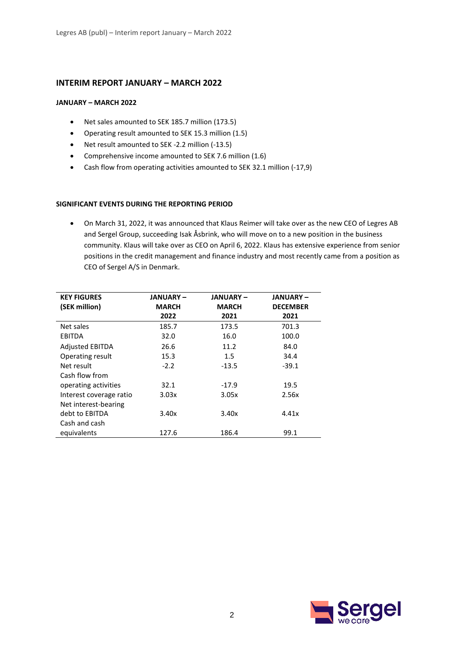## **INTERIM REPORT JANUARY – MARCH 2022**

#### **JANUARY – MARCH 2022**

- Net sales amounted to SEK 185.7 million (173.5)
- Operating result amounted to SEK 15.3 million (1.5)
- Net result amounted to SEK -2.2 million (-13.5)
- Comprehensive income amounted to SEK 7.6 million (1.6)
- Cash flow from operating activities amounted to SEK 32.1 million (-17,9)

#### **SIGNIFICANT EVENTS DURING THE REPORTING PERIOD**

• On March 31, 2022, it was announced that Klaus Reimer will take over as the new CEO of Legres AB and Sergel Group, succeeding Isak Åsbrink, who will move on to a new position in the business community. Klaus will take over as CEO on April 6, 2022. Klaus has extensive experience from senior positions in the credit management and finance industry and most recently came from a position as CEO of Sergel A/S in Denmark.

| <b>KEY FIGURES</b>      | <b>JANUARY –</b> | JANUARY –    | JANUARY –       |
|-------------------------|------------------|--------------|-----------------|
| (SEK million)           | <b>MARCH</b>     | <b>MARCH</b> | <b>DECEMBER</b> |
|                         | 2022             | 2021         | 2021            |
| Net sales               | 185.7            | 173.5        | 701.3           |
| EBITDA                  | 32.0             | 16.0         | 100.0           |
| <b>Adjusted EBITDA</b>  | 26.6             | 11.2         | 84.0            |
| Operating result        | 15.3             | 1.5          | 34.4            |
| Net result              | $-2.2$           | $-13.5$      | $-39.1$         |
| Cash flow from          |                  |              |                 |
| operating activities    | 32.1             | $-17.9$      | 19.5            |
| Interest coverage ratio | 3.03x            | 3.05x        | 2.56x           |
| Net interest-bearing    |                  |              |                 |
| debt to EBITDA          | 3.40x            | 3.40x        | 4.41x           |
| Cash and cash           |                  |              |                 |
| equivalents             | 127.6            | 186.4        | 99.1            |

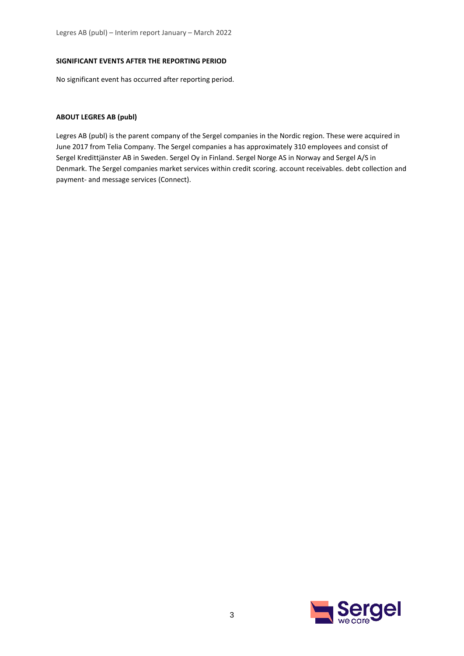#### **SIGNIFICANT EVENTS AFTER THE REPORTING PERIOD**

No significant event has occurred after reporting period.

#### **ABOUT LEGRES AB (publ)**

Legres AB (publ) is the parent company of the Sergel companies in the Nordic region. These were acquired in June 2017 from Telia Company. The Sergel companies a has approximately 310 employees and consist of Sergel Kredittjänster AB in Sweden. Sergel Oy in Finland. Sergel Norge AS in Norway and Sergel A/S in Denmark. The Sergel companies market services within credit scoring. account receivables. debt collection and payment- and message services (Connect).

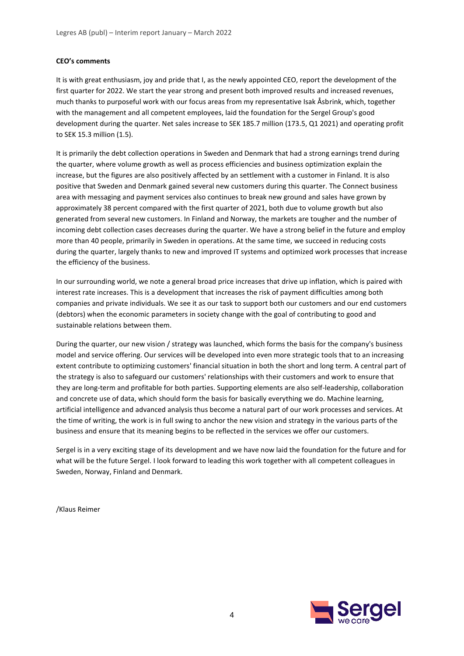#### **CEO's comments**

It is with great enthusiasm, joy and pride that I, as the newly appointed CEO, report the development of the first quarter for 2022. We start the year strong and present both improved results and increased revenues, much thanks to purposeful work with our focus areas from my representative Isak Åsbrink, which, together with the management and all competent employees, laid the foundation for the Sergel Group's good development during the quarter. Net sales increase to SEK 185.7 million (173.5, Q1 2021) and operating profit to SEK 15.3 million (1.5).

It is primarily the debt collection operations in Sweden and Denmark that had a strong earnings trend during the quarter, where volume growth as well as process efficiencies and business optimization explain the increase, but the figures are also positively affected by an settlement with a customer in Finland. It is also positive that Sweden and Denmark gained several new customers during this quarter. The Connect business area with messaging and payment services also continues to break new ground and sales have grown by approximately 38 percent compared with the first quarter of 2021, both due to volume growth but also generated from several new customers. In Finland and Norway, the markets are tougher and the number of incoming debt collection cases decreases during the quarter. We have a strong belief in the future and employ more than 40 people, primarily in Sweden in operations. At the same time, we succeed in reducing costs during the quarter, largely thanks to new and improved IT systems and optimized work processes that increase the efficiency of the business.

In our surrounding world, we note a general broad price increases that drive up inflation, which is paired with interest rate increases. This is a development that increases the risk of payment difficulties among both companies and private individuals. We see it as our task to support both our customers and our end customers (debtors) when the economic parameters in society change with the goal of contributing to good and sustainable relations between them.

During the quarter, our new vision / strategy was launched, which forms the basis for the company's business model and service offering. Our services will be developed into even more strategic tools that to an increasing extent contribute to optimizing customers' financial situation in both the short and long term. A central part of the strategy is also to safeguard our customers' relationships with their customers and work to ensure that they are long-term and profitable for both parties. Supporting elements are also self-leadership, collaboration and concrete use of data, which should form the basis for basically everything we do. Machine learning, artificial intelligence and advanced analysis thus become a natural part of our work processes and services. At the time of writing, the work is in full swing to anchor the new vision and strategy in the various parts of the business and ensure that its meaning begins to be reflected in the services we offer our customers.

Sergel is in a very exciting stage of its development and we have now laid the foundation for the future and for what will be the future Sergel. I look forward to leading this work together with all competent colleagues in Sweden, Norway, Finland and Denmark.

/Klaus Reimer

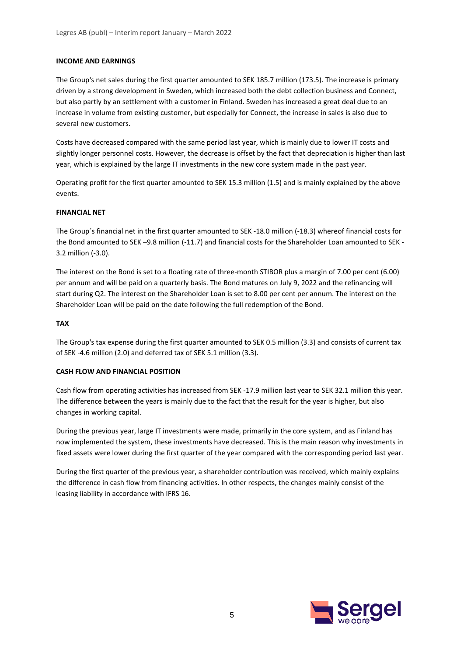#### **INCOME AND EARNINGS**

The Group's net sales during the first quarter amounted to SEK 185.7 million (173.5). The increase is primary driven by a strong development in Sweden, which increased both the debt collection business and Connect, but also partly by an settlement with a customer in Finland. Sweden has increased a great deal due to an increase in volume from existing customer, but especially for Connect, the increase in sales is also due to several new customers.

Costs have decreased compared with the same period last year, which is mainly due to lower IT costs and slightly longer personnel costs. However, the decrease is offset by the fact that depreciation is higher than last year, which is explained by the large IT investments in the new core system made in the past year.

Operating profit for the first quarter amounted to SEK 15.3 million (1.5) and is mainly explained by the above events.

#### **FINANCIAL NET**

The Group´s financial net in the first quarter amounted to SEK -18.0 million (-18.3) whereof financial costs for the Bond amounted to SEK –9.8 million (-11.7) and financial costs for the Shareholder Loan amounted to SEK - 3.2 million (-3.0).

The interest on the Bond is set to a floating rate of three-month STIBOR plus a margin of 7.00 per cent (6.00) per annum and will be paid on a quarterly basis. The Bond matures on July 9, 2022 and the refinancing will start during Q2. The interest on the Shareholder Loan is set to 8.00 per cent per annum. The interest on the Shareholder Loan will be paid on the date following the full redemption of the Bond.

#### **TAX**

The Group's tax expense during the first quarter amounted to SEK 0.5 million (3.3) and consists of current tax of SEK -4.6 million (2.0) and deferred tax of SEK 5.1 million (3.3).

#### **CASH FLOW AND FINANCIAL POSITION**

Cash flow from operating activities has increased from SEK -17.9 million last year to SEK 32.1 million this year. The difference between the years is mainly due to the fact that the result for the year is higher, but also changes in working capital.

During the previous year, large IT investments were made, primarily in the core system, and as Finland has now implemented the system, these investments have decreased. This is the main reason why investments in fixed assets were lower during the first quarter of the year compared with the corresponding period last year.

During the first quarter of the previous year, a shareholder contribution was received, which mainly explains the difference in cash flow from financing activities. In other respects, the changes mainly consist of the leasing liability in accordance with IFRS 16.

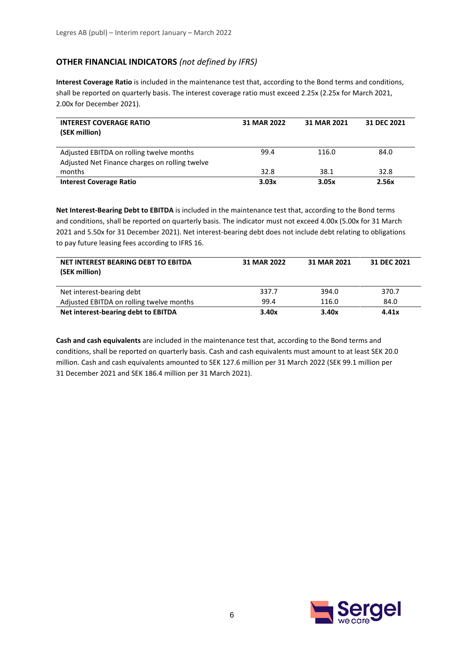## **OTHER FINANCIAL INDICATORS** *(not defined by IFRS)*

**Interest Coverage Ratio** is included in the maintenance test that, according to the Bond terms and conditions, shall be reported on quarterly basis. The interest coverage ratio must exceed 2.25x (2.25x for March 2021, 2.00x for December 2021).

| <b>INTEREST COVERAGE RATIO</b><br>(SEK million)                                            | 31 MAR 2022 | 31 MAR 2021 | 31 DEC 2021 |
|--------------------------------------------------------------------------------------------|-------------|-------------|-------------|
| Adjusted EBITDA on rolling twelve months<br>Adjusted Net Finance charges on rolling twelve | 99.4        | 116.0       | 84.0        |
| months                                                                                     | 32.8        | 38.1        | 32.8        |
| <b>Interest Coverage Ratio</b>                                                             | 3.03x       | 3.05x       | 2.56x       |

**Net Interest-Bearing Debt to EBITDA** is included in the maintenance test that, according to the Bond terms and conditions, shall be reported on quarterly basis. The indicator must not exceed 4.00x (5.00x for 31 March 2021 and 5.50x for 31 December 2021). Net interest-bearing debt does not include debt relating to obligations to pay future leasing fees according to IFRS 16.

| NET INTEREST BEARING DEBT TO EBITDA<br>(SEK million) | 31 MAR 2022 | 31 MAR 2021 | 31 DEC 2021 |
|------------------------------------------------------|-------------|-------------|-------------|
| Net interest-bearing debt                            | 337.7       | 394.0       | 370.7       |
| Adjusted EBITDA on rolling twelve months             | 99.4        | 116.0       | 84.0        |
| Net interest-bearing debt to EBITDA                  | 3.40x       | 3.40x       | 4.41x       |

**Cash and cash equivalents** are included in the maintenance test that, according to the Bond terms and conditions, shall be reported on quarterly basis. Cash and cash equivalents must amount to at least SEK 20.0 million. Cash and cash equivalents amounted to SEK 127.6 million per 31 March 2022 (SEK 99.1 million per 31 December 2021 and SEK 186.4 million per 31 March 2021).

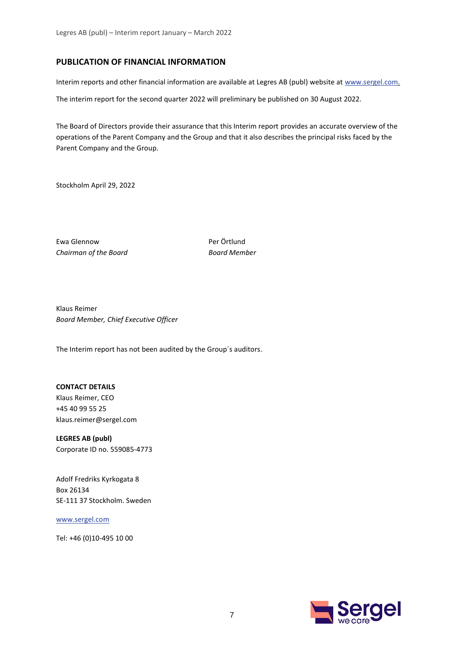## **PUBLICATION OF FINANCIAL INFORMATION**

Interim reports and other financial information are available at Legres AB (publ) website at [www.sergel.com.](http://www.sergel.com/)

The interim report for the second quarter 2022 will preliminary be published on 30 August 2022.

The Board of Directors provide their assurance that this Interim report provides an accurate overview of the operations of the Parent Company and the Group and that it also describes the principal risks faced by the Parent Company and the Group.

Stockholm April 29, 2022

Ewa Glennow Per Örtlund *Chairman of the Board Board Member*

Klaus Reimer *Board Member, Chief Executive Officer*

The Interim report has not been audited by the Group´s auditors.

## **CONTACT DETAILS**

Klaus Reimer, CEO +45 40 99 55 25 klaus.reimer@sergel.com

**LEGRES AB (publ)** Corporate ID no. 559085-4773

Adolf Fredriks Kyrkogata 8 Box 26134 SE-111 37 Stockholm. Sweden

[www.sergel.com](http://www.sergel.com/)

Tel: +46 (0)10-495 10 00

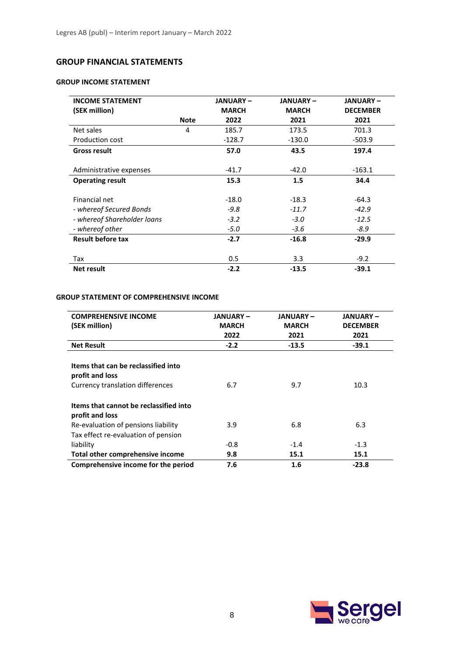## **GROUP FINANCIAL STATEMENTS**

## **GROUP INCOME STATEMENT**

| <b>INCOME STATEMENT</b>     |             | <b>JANUARY-</b> | <b>JANUARY-</b> | <b>JANUARY-</b> |
|-----------------------------|-------------|-----------------|-----------------|-----------------|
| (SEK million)               |             | <b>MARCH</b>    | <b>MARCH</b>    | <b>DECEMBER</b> |
|                             | <b>Note</b> | 2022            | 2021            | 2021            |
| Net sales                   | 4           | 185.7           | 173.5           | 701.3           |
| Production cost             |             | $-128.7$        | $-130.0$        | $-503.9$        |
| <b>Gross result</b>         |             | 57.0            | 43.5            | 197.4           |
|                             |             |                 |                 |                 |
| Administrative expenses     |             | $-41.7$         | $-42.0$         | $-163.1$        |
| <b>Operating result</b>     |             | 15.3            | 1.5             | 34.4            |
|                             |             |                 |                 |                 |
| Financial net               |             | $-18.0$         | $-18.3$         | $-64.3$         |
| - whereof Secured Bonds     |             | $-9.8$          | $-11.7$         | $-42.9$         |
| - whereof Shareholder loans |             | $-3.2$          | $-3.0$          | $-12.5$         |
| - whereof other             |             | $-5.0$          | $-3.6$          | $-8.9$          |
| <b>Result before tax</b>    |             | $-2.7$          | $-16.8$         | $-29.9$         |
|                             |             |                 |                 |                 |
| Tax                         |             | 0.5             | 3.3             | $-9.2$          |
| <b>Net result</b>           |             | $-2.2$          | $-13.5$         | $-39.1$         |

## **GROUP STATEMENT OF COMPREHENSIVE INCOME**

| <b>COMPREHENSIVE INCOME</b><br>(SEK million)                                                      | <b>JANUARY –</b><br><b>MARCH</b><br>2022 | <b>JANUARY-</b><br><b>MARCH</b><br>2021 | <b>JANUARY –</b><br><b>DECEMBER</b><br>2021 |
|---------------------------------------------------------------------------------------------------|------------------------------------------|-----------------------------------------|---------------------------------------------|
| <b>Net Result</b>                                                                                 | $-2.2$                                   | $-13.5$                                 | $-39.1$                                     |
| Items that can be reclassified into<br>profit and loss<br><b>Currency translation differences</b> | 6.7                                      | 9.7                                     | 10.3                                        |
| Items that cannot be reclassified into<br>profit and loss                                         |                                          |                                         |                                             |
| Re-evaluation of pensions liability                                                               | 3.9                                      | 6.8                                     | 6.3                                         |
| Tax effect re-evaluation of pension                                                               |                                          |                                         |                                             |
| liability                                                                                         | $-0.8$                                   | $-1.4$                                  | $-1.3$                                      |
| Total other comprehensive income                                                                  | 9.8                                      | 15.1                                    | 15.1                                        |
| Comprehensive income for the period                                                               | 7.6                                      | 1.6                                     | $-23.8$                                     |

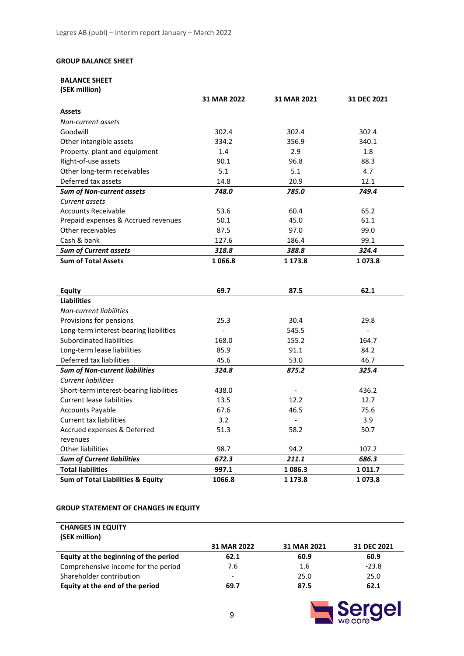#### **GROUP BALANCE SHEET**

| <b>BALANCE SHEET</b>                         |             |                |             |
|----------------------------------------------|-------------|----------------|-------------|
| (SEK million)                                |             |                |             |
|                                              | 31 MAR 2022 | 31 MAR 2021    | 31 DEC 2021 |
| <b>Assets</b>                                |             |                |             |
| Non-current assets                           |             |                |             |
| Goodwill                                     | 302.4       | 302.4          | 302.4       |
| Other intangible assets                      | 334.2       | 356.9          | 340.1       |
| Property. plant and equipment                | 1.4         | 2.9            | 1.8         |
| Right-of-use assets                          | 90.1        | 96.8           | 88.3        |
| Other long-term receivables                  | 5.1         | 5.1            | 4.7         |
| Deferred tax assets                          | 14.8        | 20.9           | 12.1        |
| <b>Sum of Non-current assets</b>             | 748.0       | 785.0          | 749.4       |
| Current assets                               |             |                |             |
| <b>Accounts Receivable</b>                   | 53.6        | 60.4           | 65.2        |
| Prepaid expenses & Accrued revenues          | 50.1        | 45.0           | 61.1        |
| Other receivables                            | 87.5        | 97.0           | 99.0        |
| Cash & bank                                  | 127.6       | 186.4          | 99.1        |
| <b>Sum of Current assets</b>                 | 318.8       | 388.8          | 324.4       |
| <b>Sum of Total Assets</b>                   | 1066.8      | 1 173.8        | 1073.8      |
|                                              |             |                |             |
|                                              |             |                |             |
| <b>Equity</b>                                | 69.7        | 87.5           | 62.1        |
| <b>Liabilities</b>                           |             |                |             |
| Non-current liabilities                      |             |                |             |
| Provisions for pensions                      | 25.3        | 30.4           | 29.8        |
| Long-term interest-bearing liabilities       |             | 545.5          |             |
| Subordinated liabilities                     | 168.0       | 155.2          | 164.7       |
| Long-term lease liabilities                  | 85.9        | 91.1           | 84.2        |
| Deferred tax liabilities                     | 45.6        | 53.0           | 46.7        |
| <b>Sum of Non-current liabilities</b>        | 324.8       | 875.2          | 325.4       |
| <b>Current liabilities</b>                   |             |                |             |
| Short-term interest-bearing liabilities      | 438.0       |                | 436.2       |
| <b>Current lease liabilities</b>             | 13.5        | 12.2           | 12.7        |
| <b>Accounts Payable</b>                      | 67.6        | 46.5           | 75.6        |
| <b>Current tax liabilities</b>               | 3.2         | $\overline{a}$ | 3.9         |
| Accrued expenses & Deferred                  | 51.3        | 58.2           | 50.7        |
| revenues                                     |             |                |             |
| Other liabilities                            | 98.7        | 94.2           | 107.2       |
| <b>Sum of Current liabilities</b>            | 672.3       | 211.1          | 686.3       |
| <b>Total liabilities</b>                     | 997.1       | 1 086.3        | 1 0 1 1 . 7 |
| <b>Sum of Total Liabilities &amp; Equity</b> | 1066.8      | 1 173.8        | 1073.8      |

#### **GROUP STATEMENT OF CHANGES IN EQUITY**

## **CHANGES IN EQUITY (SEK million) 31 MAR 2022 31 MAR 2021 31 DEC 2021 Equity at the beginning of the period 62.1 60.9 60.9** Comprehensive income for the period <br>
Shareholder contribution 
and the period 
Comprehensive income for the period 
Comprehensive income for the period 
The Comprehensive income for the period 
The Comprehensive income fo Shareholder contribution - 25.0 25.0 **Equity at the end of the period 69.7 87.5 62.1**

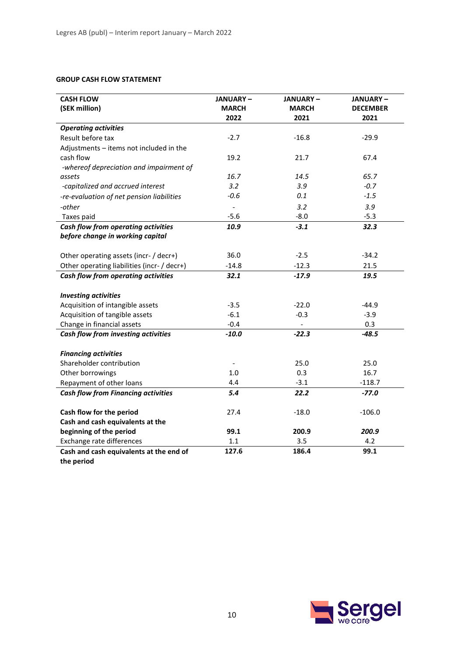## **GROUP CASH FLOW STATEMENT**

| <b>CASH FLOW</b>                            | <b>JANUARY-</b>      | <b>JANUARY-</b>      | <b>JANUARY –</b>        |
|---------------------------------------------|----------------------|----------------------|-------------------------|
| (SEK million)                               | <b>MARCH</b><br>2022 | <b>MARCH</b><br>2021 | <b>DECEMBER</b><br>2021 |
| <b>Operating activities</b>                 |                      |                      |                         |
| Result before tax                           | $-2.7$               | $-16.8$              | $-29.9$                 |
| Adjustments - items not included in the     |                      |                      |                         |
| cash flow                                   | 19.2                 | 21.7                 | 67.4                    |
| -whereof depreciation and impairment of     |                      |                      |                         |
| assets                                      | 16.7                 | 14.5                 | 65.7                    |
| -capitalized and accrued interest           | 3.2                  | 3.9                  | $-0.7$                  |
| -re-evaluation of net pension liabilities   | $-0.6$               | 0.1                  | $-1.5$                  |
| -other                                      |                      | 3.2                  | 3.9                     |
| Taxes paid                                  | $-5.6$               | $-8.0$               | $-5.3$                  |
| Cash flow from operating activities         | 10.9                 | $-3.1$               | 32.3                    |
| before change in working capital            |                      |                      |                         |
|                                             |                      |                      |                         |
| Other operating assets (incr- / decr+)      | 36.0                 | $-2.5$               | $-34.2$                 |
| Other operating liabilities (incr- / decr+) | $-14.8$              | $-12.3$              | 21.5                    |
| Cash flow from operating activities         | 32.1                 | $-17.9$              | 19.5                    |
|                                             |                      |                      |                         |
| <b>Investing activities</b>                 |                      |                      |                         |
| Acquisition of intangible assets            | $-3.5$               | $-22.0$              | $-44.9$                 |
| Acquisition of tangible assets              | $-6.1$               | $-0.3$               | $-3.9$                  |
| Change in financial assets                  | $-0.4$               |                      | 0.3                     |
| Cash flow from investing activities         | $-10.0$              | $-22.3$              | $-48.5$                 |
| <b>Financing activities</b>                 |                      |                      |                         |
| Shareholder contribution                    |                      | 25.0                 | 25.0                    |
| Other borrowings                            | 1.0                  | 0.3                  | 16.7                    |
| Repayment of other loans                    | 4.4                  | $-3.1$               | $-118.7$                |
| <b>Cash flow from Financing activities</b>  | 5.4                  | 22.2                 | $-77.0$                 |
|                                             |                      |                      |                         |
| Cash flow for the period                    | 27.4                 | $-18.0$              | $-106.0$                |
| Cash and cash equivalents at the            |                      |                      |                         |
| beginning of the period                     | 99.1                 | 200.9                | 200.9                   |
| Exchange rate differences                   | 1.1                  | 3.5                  | 4.2                     |
| Cash and cash equivalents at the end of     | 127.6                | 186.4                | 99.1                    |
| the period                                  |                      |                      |                         |

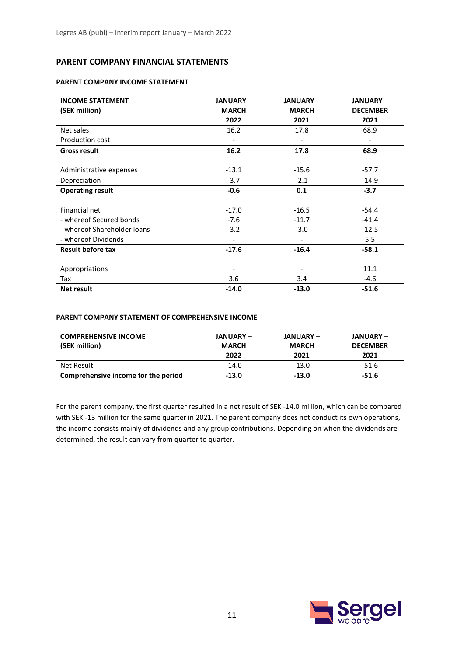## **PARENT COMPANY FINANCIAL STATEMENTS**

#### **PARENT COMPANY INCOME STATEMENT**

| <b>INCOME STATEMENT</b>     | <b>JANUARY-</b>          | <b>JANUARY-</b>          | <b>JANUARY-</b> |
|-----------------------------|--------------------------|--------------------------|-----------------|
| (SEK million)               | <b>MARCH</b>             | <b>MARCH</b>             | <b>DECEMBER</b> |
|                             | 2022                     | 2021                     | 2021            |
| Net sales                   | 16.2                     | 17.8                     | 68.9            |
| Production cost             |                          |                          |                 |
| <b>Gross result</b>         | 16.2                     | 17.8                     | 68.9            |
|                             |                          |                          |                 |
| Administrative expenses     | $-13.1$                  | $-15.6$                  | $-57.7$         |
| Depreciation                | $-3.7$                   | $-2.1$                   | $-14.9$         |
| <b>Operating result</b>     | $-0.6$                   | 0.1                      | $-3.7$          |
|                             |                          |                          |                 |
| Financial net               | $-17.0$                  | $-16.5$                  | $-54.4$         |
| - whereof Secured bonds     | $-7.6$                   | $-11.7$                  | $-41.4$         |
| - whereof Shareholder loans | $-3.2$                   | $-3.0$                   | $-12.5$         |
| - whereof Dividends         | $\overline{\phantom{a}}$ | $\overline{\phantom{a}}$ | 5.5             |
| <b>Result before tax</b>    | $-17.6$                  | $-16.4$                  | $-58.1$         |
|                             |                          |                          |                 |
| Appropriations              |                          |                          | 11.1            |
| Tax                         | 3.6                      | 3.4                      | $-4.6$          |
| <b>Net result</b>           | $-14.0$                  | $-13.0$                  | $-51.6$         |

#### **PARENT COMPANY STATEMENT OF COMPREHENSIVE INCOME**

| <b>COMPREHENSIVE INCOME</b><br>(SEK million) | JANUARY –<br><b>MARCH</b><br>2022 | JANUARY –<br><b>MARCH</b><br>2021 | JANUARY –<br><b>DECEMBER</b><br>2021 |
|----------------------------------------------|-----------------------------------|-----------------------------------|--------------------------------------|
| Net Result                                   | $-14.0$                           | $-13.0$                           | -51.6                                |
| Comprehensive income for the period          | -13.0                             | $-13.0$                           | -51.6                                |

For the parent company, the first quarter resulted in a net result of SEK -14.0 million, which can be compared with SEK -13 million for the same quarter in 2021. The parent company does not conduct its own operations, the income consists mainly of dividends and any group contributions. Depending on when the dividends are determined, the result can vary from quarter to quarter.

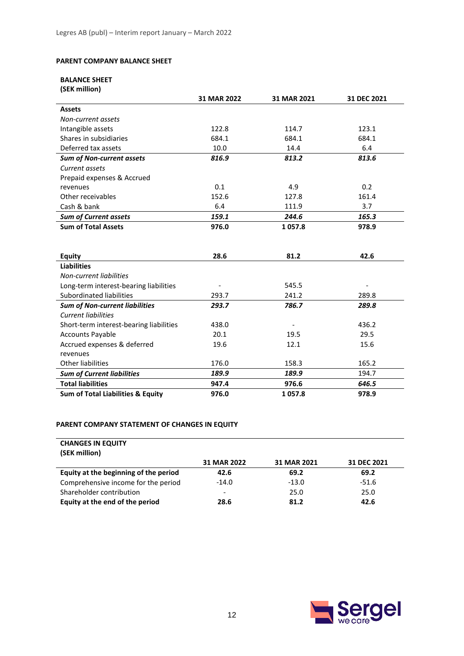#### **PARENT COMPANY BALANCE SHEET**

## **BALANCE SHEET**

| (SEK million)                                |             |             |             |
|----------------------------------------------|-------------|-------------|-------------|
|                                              | 31 MAR 2022 | 31 MAR 2021 | 31 DEC 2021 |
| <b>Assets</b>                                |             |             |             |
| Non-current assets                           |             |             |             |
| Intangible assets                            | 122.8       | 114.7       | 123.1       |
| Shares in subsidiaries                       | 684.1       | 684.1       | 684.1       |
| Deferred tax assets                          | 10.0        | 14.4        | 6.4         |
| <b>Sum of Non-current assets</b>             | 816.9       | 813.2       | 813.6       |
| Current assets                               |             |             |             |
| Prepaid expenses & Accrued                   |             |             |             |
| revenues                                     | 0.1         | 4.9         | 0.2         |
| Other receivables                            | 152.6       | 127.8       | 161.4       |
| Cash & bank                                  | 6.4         | 111.9       | 3.7         |
| <b>Sum of Current assets</b>                 | 159.1       | 244.6       | 165.3       |
| <b>Sum of Total Assets</b>                   | 976.0       | 1057.8      | 978.9       |
|                                              |             |             |             |
|                                              |             |             |             |
| <b>Equity</b>                                | 28.6        | 81.2        | 42.6        |
| <b>Liabilities</b>                           |             |             |             |
| Non-current liabilities                      |             |             |             |
| Long-term interest-bearing liabilities       |             | 545.5       |             |
| Subordinated liabilities                     | 293.7       | 241.2       | 289.8       |
| <b>Sum of Non-current liabilities</b>        | 293.7       | 786.7       | 289.8       |
| <b>Current liabilities</b>                   |             |             |             |
| Short-term interest-bearing liabilities      | 438.0       |             | 436.2       |
| <b>Accounts Payable</b>                      | 20.1        | 19.5        | 29.5        |
| Accrued expenses & deferred                  | 19.6        | 12.1        | 15.6        |
| revenues                                     |             |             |             |
| <b>Other liabilities</b>                     | 176.0       | 158.3       | 165.2       |
| <b>Sum of Current liabilities</b>            | 189.9       | 189.9       | 194.7       |
| <b>Total liabilities</b>                     | 947.4       | 976.6       | 646.5       |
| <b>Sum of Total Liabilities &amp; Equity</b> | 976.0       | 1057.8      | 978.9       |

### **PARENT COMPANY STATEMENT OF CHANGES IN EQUITY**

| <b>CHANGES IN EQUITY</b>              |             |             |             |
|---------------------------------------|-------------|-------------|-------------|
| (SEK million)                         |             |             |             |
|                                       | 31 MAR 2022 | 31 MAR 2021 | 31 DEC 2021 |
| Equity at the beginning of the period | 42.6        | 69.2        | 69.2        |
| Comprehensive income for the period   | $-14.0$     | $-13.0$     | $-51.6$     |
| Shareholder contribution              | -           | 25.0        | 25.0        |
| Equity at the end of the period       | 28.6        | 81.2        | 42.6        |

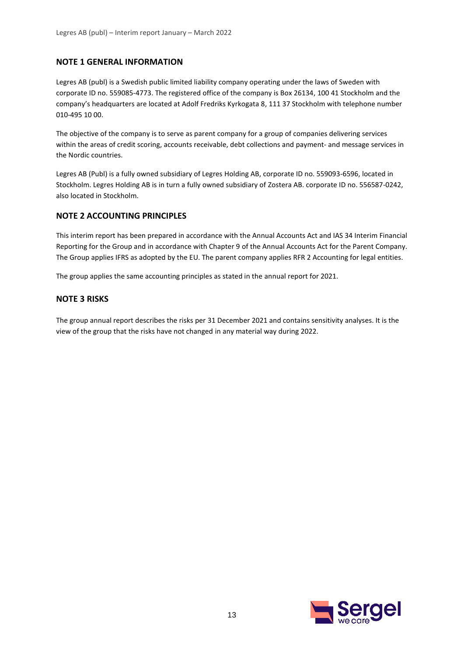## **NOTE 1 GENERAL INFORMATION**

Legres AB (publ) is a Swedish public limited liability company operating under the laws of Sweden with corporate ID no. 559085-4773. The registered office of the company is Box 26134, 100 41 Stockholm and the company's headquarters are located at Adolf Fredriks Kyrkogata 8, 111 37 Stockholm with telephone number 010-495 10 00.

The objective of the company is to serve as parent company for a group of companies delivering services within the areas of credit scoring, accounts receivable, debt collections and payment- and message services in the Nordic countries.

Legres AB (Publ) is a fully owned subsidiary of Legres Holding AB, corporate ID no. 559093-6596, located in Stockholm. Legres Holding AB is in turn a fully owned subsidiary of Zostera AB. corporate ID no. 556587-0242, also located in Stockholm.

## **NOTE 2 ACCOUNTING PRINCIPLES**

This interim report has been prepared in accordance with the Annual Accounts Act and IAS 34 Interim Financial Reporting for the Group and in accordance with Chapter 9 of the Annual Accounts Act for the Parent Company. The Group applies IFRS as adopted by the EU. The parent company applies RFR 2 Accounting for legal entities.

The group applies the same accounting principles as stated in the annual report for 2021.

## **NOTE 3 RISKS**

The group annual report describes the risks per 31 December 2021 and contains sensitivity analyses. It is the view of the group that the risks have not changed in any material way during 2022.

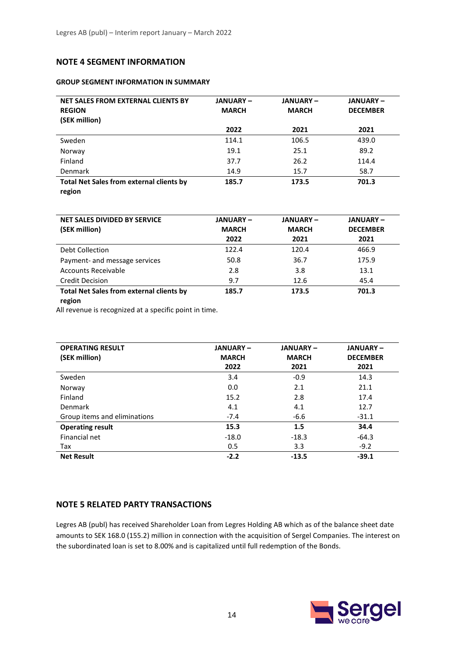## **NOTE 4 SEGMENT INFORMATION**

#### **GROUP SEGMENT INFORMATION IN SUMMARY**

| NET SALES FROM EXTERNAL CLIENTS BY<br><b>REGION</b><br>(SEK million) | <b>JANUARY-</b><br><b>MARCH</b> | <b>JANUARY-</b><br><b>MARCH</b> | <b>JANUARY-</b><br><b>DECEMBER</b> |
|----------------------------------------------------------------------|---------------------------------|---------------------------------|------------------------------------|
|                                                                      | 2022                            | 2021                            | 2021                               |
| Sweden                                                               | 114.1                           | 106.5                           | 439.0                              |
| Norway                                                               | 19.1                            | 25.1                            | 89.2                               |
| Finland                                                              | 37.7                            | 26.2                            | 114.4                              |
| <b>Denmark</b>                                                       | 14.9                            | 15.7                            | 58.7                               |
| <b>Total Net Sales from external clients by</b><br>region            | 185.7                           | 173.5                           | 701.3                              |

| <b>NET SALES DIVIDED BY SERVICE</b><br>(SEK million) | <b>JANUARY –</b><br><b>MARCH</b><br>2022 | <b>JANUARY –</b><br><b>MARCH</b><br>2021 | <b>JANUARY-</b><br><b>DECEMBER</b><br>2021 |
|------------------------------------------------------|------------------------------------------|------------------------------------------|--------------------------------------------|
| Debt Collection                                      | 122.4                                    | 120.4                                    | 466.9                                      |
| Payment- and message services                        | 50.8                                     | 36.7                                     | 175.9                                      |
| Accounts Receivable                                  | 2.8                                      | 3.8                                      | 13.1                                       |
| <b>Credit Decision</b>                               | 9.7                                      | 12.6                                     | 45.4                                       |
| <b>Total Net Sales from external clients by</b>      | 185.7                                    | 173.5                                    | 701.3                                      |

#### **region**

All revenue is recognized at a specific point in time.

| <b>OPERATING RESULT</b><br>(SEK million) | <b>JANUARY-</b><br><b>MARCH</b> | <b>JANUARY-</b><br><b>MARCH</b> | <b>JANUARY-</b><br><b>DECEMBER</b> |
|------------------------------------------|---------------------------------|---------------------------------|------------------------------------|
|                                          | 2022                            | 2021                            | 2021                               |
| Sweden                                   | 3.4                             | $-0.9$                          | 14.3                               |
| Norway                                   | 0.0                             | 2.1                             | 21.1                               |
| Finland                                  | 15.2                            | 2.8                             | 17.4                               |
| Denmark                                  | 4.1                             | 4.1                             | 12.7                               |
| Group items and eliminations             | $-7.4$                          | $-6.6$                          | $-31.1$                            |
| <b>Operating result</b>                  | 15.3                            | 1.5                             | 34.4                               |
| Financial net                            | $-18.0$                         | $-18.3$                         | $-64.3$                            |
| Tax                                      | 0.5                             | 3.3                             | $-9.2$                             |
| <b>Net Result</b>                        | $-2.2$                          | $-13.5$                         | $-39.1$                            |

## **NOTE 5 RELATED PARTY TRANSACTIONS**

Legres AB (publ) has received Shareholder Loan from Legres Holding AB which as of the balance sheet date amounts to SEK 168.0 (155.2) million in connection with the acquisition of Sergel Companies. The interest on the subordinated loan is set to 8.00% and is capitalized until full redemption of the Bonds.

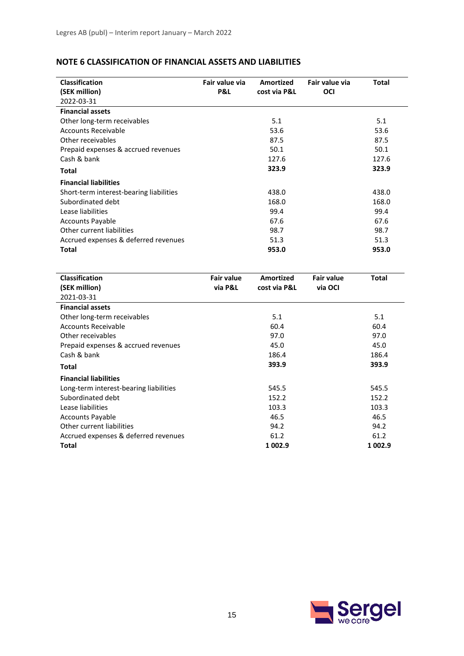| NOTE 6 CLASSIFICATION OF FINANCIAL ASSETS AND LIABILITIES |  |
|-----------------------------------------------------------|--|
|-----------------------------------------------------------|--|

| <b>Classification</b><br>(SEK million)<br>2022-03-31 | Fair value via<br>P&L | Amortized<br>cost via P&L | Fair value via<br>OCI | <b>Total</b> |
|------------------------------------------------------|-----------------------|---------------------------|-----------------------|--------------|
| <b>Financial assets</b>                              |                       |                           |                       |              |
| Other long-term receivables                          |                       | 5.1                       |                       | 5.1          |
| <b>Accounts Receivable</b>                           |                       | 53.6                      |                       | 53.6         |
| Other receivables                                    |                       | 87.5                      |                       | 87.5         |
| Prepaid expenses & accrued revenues                  |                       | 50.1                      |                       | 50.1         |
| Cash & bank                                          |                       | 127.6                     |                       | 127.6        |
| Total                                                |                       | 323.9                     |                       | 323.9        |
| <b>Financial liabilities</b>                         |                       |                           |                       |              |
| Short-term interest-bearing liabilities              |                       | 438.0                     |                       | 438.0        |
| Subordinated debt                                    |                       | 168.0                     |                       | 168.0        |
| Lease liabilities                                    |                       | 99.4                      |                       | 99.4         |
| <b>Accounts Payable</b>                              |                       | 67.6                      |                       | 67.6         |
| Other current liabilities                            |                       | 98.7                      |                       | 98.7         |
| Accrued expenses & deferred revenues                 |                       | 51.3                      |                       | 51.3         |
| Total                                                |                       | 953.0                     |                       | 953.0        |
|                                                      |                       |                           |                       |              |
| <b>Classification</b>                                | <b>Fair value</b>     | <b>Amortized</b>          | <b>Fair value</b>     | <b>Total</b> |
| (SEK million)                                        | via P&L               | cost via P&L              | via OCI               |              |
| 2021-03-31                                           |                       |                           |                       |              |
| <b>Financial assets</b>                              |                       |                           |                       |              |
| Other long-term receivables                          |                       | 5.1                       |                       | 5.1          |
| <b>Accounts Receivable</b>                           |                       | 60.4                      |                       | 60.4         |
| Other receivables                                    |                       | 97.0                      |                       | 97.0         |
| Prepaid expenses & accrued revenues                  |                       | 45.0                      |                       | 45.0         |
| Cash & bank                                          |                       | 186.4                     |                       | 186.4        |
| <b>Total</b>                                         |                       | 393.9                     |                       | 393.9        |
| <b>Financial liabilities</b>                         |                       |                           |                       |              |
| Long-term interest-bearing liabilities               |                       | 545.5                     |                       | 545.5        |
| Subordinated debt                                    |                       | 152.2                     |                       | 152.2        |
| Lease liabilities                                    |                       | 103.3                     |                       | 103.3        |
| <b>Accounts Payable</b>                              |                       | 46.5                      |                       | 46.5         |
| Other current liabilities                            |                       | 94.2                      |                       | 94.2         |
| Accrued expenses & deferred revenues                 |                       | 61.2                      |                       | 61.2         |
| Total                                                |                       | 1 002.9                   |                       | 1 002.9      |